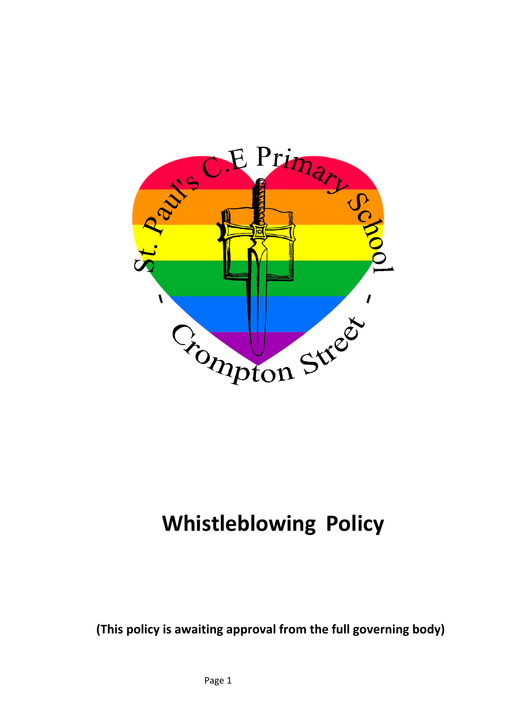

# **Whistleblowing Policy**

**(This policy is awaiting approval from the full governing body)**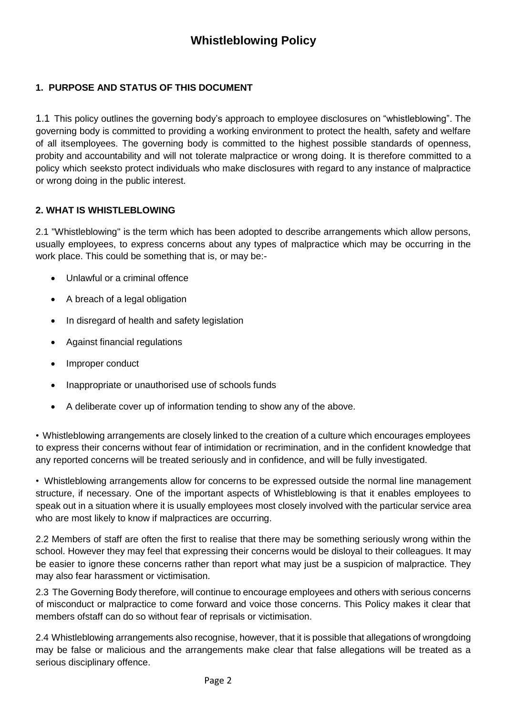# **1. PURPOSE AND STATUS OF THIS DOCUMENT**

1.1 This policy outlines the governing body's approach to employee disclosures on "whistleblowing". The governing body is committed to providing a working environment to protect the health, safety and welfare of all itsemployees. The governing body is committed to the highest possible standards of openness, probity and accountability and will not tolerate malpractice or wrong doing. It is therefore committed to a policy which seeksto protect individuals who make disclosures with regard to any instance of malpractice or wrong doing in the public interest.

# **2. WHAT IS WHISTLEBLOWING**

2.1 "Whistleblowing" is the term which has been adopted to describe arrangements which allow persons, usually employees, to express concerns about any types of malpractice which may be occurring in the work place. This could be something that is, or may be:-

- Unlawful or a criminal offence
- A breach of a legal obligation
- In disregard of health and safety legislation
- Against financial regulations
- Improper conduct
- Inappropriate or unauthorised use of schools funds
- A deliberate cover up of information tending to show any of the above.

• Whistleblowing arrangements are closely linked to the creation of a culture which encourages employees to express their concerns without fear of intimidation or recrimination, and in the confident knowledge that any reported concerns will be treated seriously and in confidence, and will be fully investigated.

• Whistleblowing arrangements allow for concerns to be expressed outside the normal line management structure, if necessary. One of the important aspects of Whistleblowing is that it enables employees to speak out in a situation where it is usually employees most closely involved with the particular service area who are most likely to know if malpractices are occurring.

2.2 Members of staff are often the first to realise that there may be something seriously wrong within the school. However they may feel that expressing their concerns would be disloyal to their colleagues. It may be easier to ignore these concerns rather than report what may just be a suspicion of malpractice. They may also fear harassment or victimisation.

2.3 The Governing Body therefore, will continue to encourage employees and others with serious concerns of misconduct or malpractice to come forward and voice those concerns. This Policy makes it clear that members ofstaff can do so without fear of reprisals or victimisation.

2.4 Whistleblowing arrangements also recognise, however, that it is possible that allegations of wrongdoing may be false or malicious and the arrangements make clear that false allegations will be treated as a serious disciplinary offence.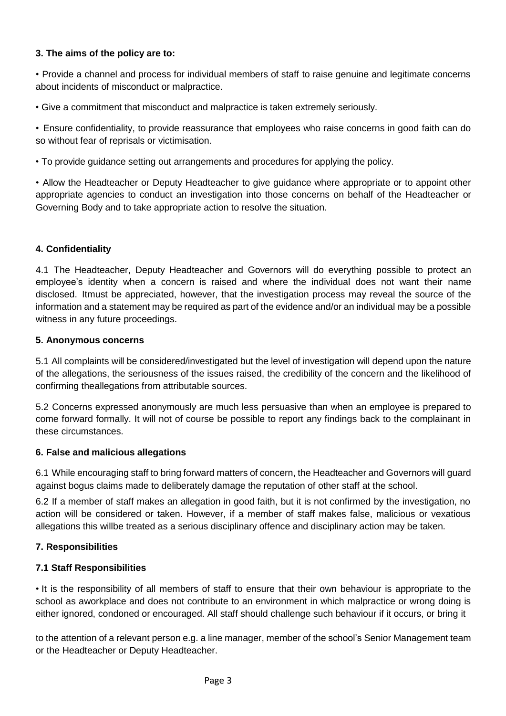# **3. The aims of the policy are to:**

• Provide a channel and process for individual members of staff to raise genuine and legitimate concerns about incidents of misconduct or malpractice.

• Give a commitment that misconduct and malpractice is taken extremely seriously.

• Ensure confidentiality, to provide reassurance that employees who raise concerns in good faith can do so without fear of reprisals or victimisation.

• To provide guidance setting out arrangements and procedures for applying the policy.

• Allow the Headteacher or Deputy Headteacher to give guidance where appropriate or to appoint other appropriate agencies to conduct an investigation into those concerns on behalf of the Headteacher or Governing Body and to take appropriate action to resolve the situation.

#### **4. Confidentiality**

4.1 The Headteacher, Deputy Headteacher and Governors will do everything possible to protect an employee's identity when a concern is raised and where the individual does not want their name disclosed. Itmust be appreciated, however, that the investigation process may reveal the source of the information and a statement may be required as part of the evidence and/or an individual may be a possible witness in any future proceedings.

#### **5. Anonymous concerns**

5.1 All complaints will be considered/investigated but the level of investigation will depend upon the nature of the allegations, the seriousness of the issues raised, the credibility of the concern and the likelihood of confirming theallegations from attributable sources.

5.2 Concerns expressed anonymously are much less persuasive than when an employee is prepared to come forward formally. It will not of course be possible to report any findings back to the complainant in these circumstances.

# **6. False and malicious allegations**

6.1 While encouraging staff to bring forward matters of concern, the Headteacher and Governors will guard against bogus claims made to deliberately damage the reputation of other staff at the school.

6.2 If a member of staff makes an allegation in good faith, but it is not confirmed by the investigation, no action will be considered or taken. However, if a member of staff makes false, malicious or vexatious allegations this willbe treated as a serious disciplinary offence and disciplinary action may be taken.

# **7. Responsibilities**

# **7.1 Staff Responsibilities**

• It is the responsibility of all members of staff to ensure that their own behaviour is appropriate to the school as aworkplace and does not contribute to an environment in which malpractice or wrong doing is either ignored, condoned or encouraged. All staff should challenge such behaviour if it occurs, or bring it

to the attention of a relevant person e.g. a line manager, member of the school's Senior Management team or the Headteacher or Deputy Headteacher.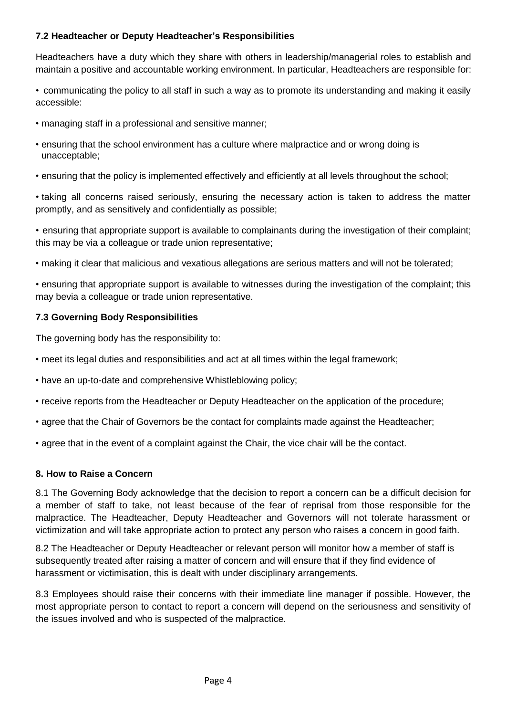# **7.2 Headteacher or Deputy Headteacher's Responsibilities**

Headteachers have a duty which they share with others in leadership/managerial roles to establish and maintain a positive and accountable working environment. In particular, Headteachers are responsible for:

• communicating the policy to all staff in such a way as to promote its understanding and making it easily accessible:

- managing staff in a professional and sensitive manner;
- ensuring that the school environment has a culture where malpractice and or wrong doing is unacceptable;
- ensuring that the policy is implemented effectively and efficiently at all levels throughout the school;

• taking all concerns raised seriously, ensuring the necessary action is taken to address the matter promptly, and as sensitively and confidentially as possible;

• ensuring that appropriate support is available to complainants during the investigation of their complaint; this may be via a colleague or trade union representative;

• making it clear that malicious and vexatious allegations are serious matters and will not be tolerated;

• ensuring that appropriate support is available to witnesses during the investigation of the complaint; this may bevia a colleague or trade union representative.

#### **7.3 Governing Body Responsibilities**

The governing body has the responsibility to:

- meet its legal duties and responsibilities and act at all times within the legal framework;
- have an up-to-date and comprehensive Whistleblowing policy;
- receive reports from the Headteacher or Deputy Headteacher on the application of the procedure;
- agree that the Chair of Governors be the contact for complaints made against the Headteacher;
- agree that in the event of a complaint against the Chair, the vice chair will be the contact.

#### **8. How to Raise a Concern**

8.1 The Governing Body acknowledge that the decision to report a concern can be a difficult decision for a member of staff to take, not least because of the fear of reprisal from those responsible for the malpractice. The Headteacher, Deputy Headteacher and Governors will not tolerate harassment or victimization and will take appropriate action to protect any person who raises a concern in good faith.

8.2 The Headteacher or Deputy Headteacher or relevant person will monitor how a member of staff is subsequently treated after raising a matter of concern and will ensure that if they find evidence of harassment or victimisation, this is dealt with under disciplinary arrangements.

8.3 Employees should raise their concerns with their immediate line manager if possible. However, the most appropriate person to contact to report a concern will depend on the seriousness and sensitivity of the issues involved and who is suspected of the malpractice.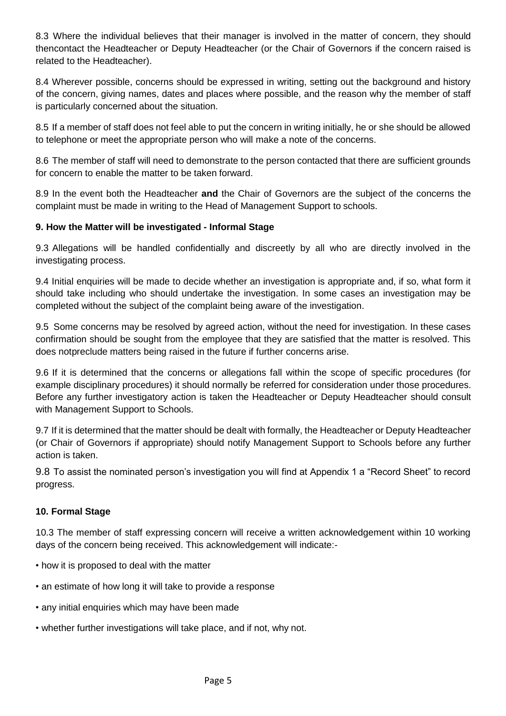8.3 Where the individual believes that their manager is involved in the matter of concern, they should thencontact the Headteacher or Deputy Headteacher (or the Chair of Governors if the concern raised is related to the Headteacher).

8.4 Wherever possible, concerns should be expressed in writing, setting out the background and history of the concern, giving names, dates and places where possible, and the reason why the member of staff is particularly concerned about the situation.

8.5 If a member of staff does not feel able to put the concern in writing initially, he or she should be allowed to telephone or meet the appropriate person who will make a note of the concerns.

8.6 The member of staff will need to demonstrate to the person contacted that there are sufficient grounds for concern to enable the matter to be taken forward.

8.9 In the event both the Headteacher **and** the Chair of Governors are the subject of the concerns the complaint must be made in writing to the Head of Management Support to schools.

# **9. How the Matter will be investigated - Informal Stage**

9.3 Allegations will be handled confidentially and discreetly by all who are directly involved in the investigating process.

9.4 Initial enquiries will be made to decide whether an investigation is appropriate and, if so, what form it should take including who should undertake the investigation. In some cases an investigation may be completed without the subject of the complaint being aware of the investigation.

9.5 Some concerns may be resolved by agreed action, without the need for investigation. In these cases confirmation should be sought from the employee that they are satisfied that the matter is resolved. This does notpreclude matters being raised in the future if further concerns arise.

9.6 If it is determined that the concerns or allegations fall within the scope of specific procedures (for example disciplinary procedures) it should normally be referred for consideration under those procedures. Before any further investigatory action is taken the Headteacher or Deputy Headteacher should consult with Management Support to Schools.

9.7 If it is determined that the matter should be dealt with formally, the Headteacher or Deputy Headteacher (or Chair of Governors if appropriate) should notify Management Support to Schools before any further action is taken.

9.8 To assist the nominated person's investigation you will find at Appendix 1 a "Record Sheet" to record progress.

# **10. Formal Stage**

10.3 The member of staff expressing concern will receive a written acknowledgement within 10 working days of the concern being received. This acknowledgement will indicate:-

- how it is proposed to deal with the matter
- an estimate of how long it will take to provide a response
- any initial enquiries which may have been made
- whether further investigations will take place, and if not, why not.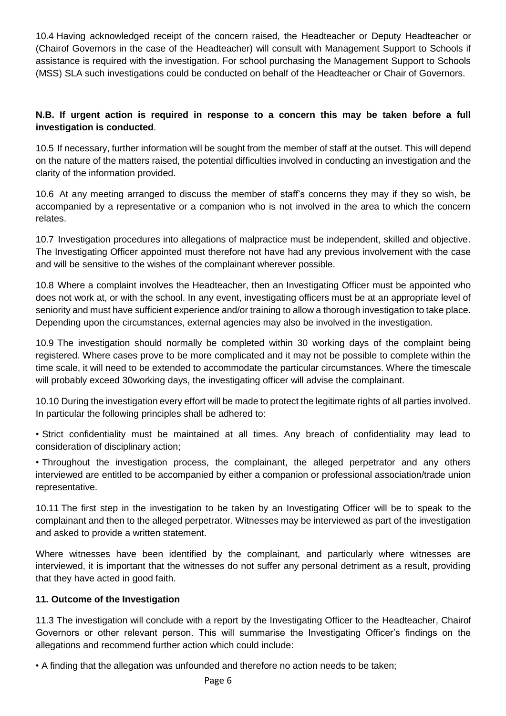10.4 Having acknowledged receipt of the concern raised, the Headteacher or Deputy Headteacher or (Chairof Governors in the case of the Headteacher) will consult with Management Support to Schools if assistance is required with the investigation. For school purchasing the Management Support to Schools (MSS) SLA such investigations could be conducted on behalf of the Headteacher or Chair of Governors.

# **N.B. If urgent action is required in response to a concern this may be taken before a full investigation is conducted**.

10.5 If necessary, further information will be sought from the member of staff at the outset. This will depend on the nature of the matters raised, the potential difficulties involved in conducting an investigation and the clarity of the information provided.

10.6 At any meeting arranged to discuss the member of staff's concerns they may if they so wish, be accompanied by a representative or a companion who is not involved in the area to which the concern relates.

10.7 Investigation procedures into allegations of malpractice must be independent, skilled and objective. The Investigating Officer appointed must therefore not have had any previous involvement with the case and will be sensitive to the wishes of the complainant wherever possible.

10.8 Where a complaint involves the Headteacher, then an Investigating Officer must be appointed who does not work at, or with the school. In any event, investigating officers must be at an appropriate level of seniority and must have sufficient experience and/or training to allow a thorough investigation to take place. Depending upon the circumstances, external agencies may also be involved in the investigation.

10.9 The investigation should normally be completed within 30 working days of the complaint being registered. Where cases prove to be more complicated and it may not be possible to complete within the time scale, it will need to be extended to accommodate the particular circumstances. Where the timescale will probably exceed 30working days, the investigating officer will advise the complainant.

10.10 During the investigation every effort will be made to protect the legitimate rights of all parties involved. In particular the following principles shall be adhered to:

• Strict confidentiality must be maintained at all times. Any breach of confidentiality may lead to consideration of disciplinary action;

• Throughout the investigation process, the complainant, the alleged perpetrator and any others interviewed are entitled to be accompanied by either a companion or professional association/trade union representative.

10.11 The first step in the investigation to be taken by an Investigating Officer will be to speak to the complainant and then to the alleged perpetrator. Witnesses may be interviewed as part of the investigation and asked to provide a written statement.

Where witnesses have been identified by the complainant, and particularly where witnesses are interviewed, it is important that the witnesses do not suffer any personal detriment as a result, providing that they have acted in good faith.

# **11. Outcome of the Investigation**

11.3 The investigation will conclude with a report by the Investigating Officer to the Headteacher, Chairof Governors or other relevant person. This will summarise the Investigating Officer's findings on the allegations and recommend further action which could include:

• A finding that the allegation was unfounded and therefore no action needs to be taken;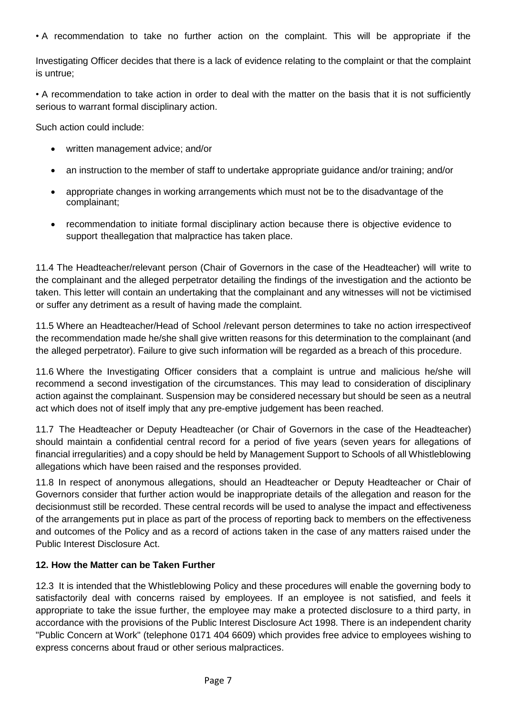• A recommendation to take no further action on the complaint. This will be appropriate if the

Investigating Officer decides that there is a lack of evidence relating to the complaint or that the complaint is untrue;

• A recommendation to take action in order to deal with the matter on the basis that it is not sufficiently serious to warrant formal disciplinary action.

Such action could include:

- written management advice; and/or
- an instruction to the member of staff to undertake appropriate guidance and/or training; and/or
- appropriate changes in working arrangements which must not be to the disadvantage of the complainant;
- recommendation to initiate formal disciplinary action because there is objective evidence to support theallegation that malpractice has taken place.

11.4 The Headteacher/relevant person (Chair of Governors in the case of the Headteacher) will write to the complainant and the alleged perpetrator detailing the findings of the investigation and the actionto be taken. This letter will contain an undertaking that the complainant and any witnesses will not be victimised or suffer any detriment as a result of having made the complaint.

11.5 Where an Headteacher/Head of School /relevant person determines to take no action irrespectiveof the recommendation made he/she shall give written reasons for this determination to the complainant (and the alleged perpetrator). Failure to give such information will be regarded as a breach of this procedure.

11.6 Where the Investigating Officer considers that a complaint is untrue and malicious he/she will recommend a second investigation of the circumstances. This may lead to consideration of disciplinary action against the complainant. Suspension may be considered necessary but should be seen as a neutral act which does not of itself imply that any pre-emptive judgement has been reached.

11.7 The Headteacher or Deputy Headteacher (or Chair of Governors in the case of the Headteacher) should maintain a confidential central record for a period of five years (seven years for allegations of financial irregularities) and a copy should be held by Management Support to Schools of all Whistleblowing allegations which have been raised and the responses provided.

11.8 In respect of anonymous allegations, should an Headteacher or Deputy Headteacher or Chair of Governors consider that further action would be inappropriate details of the allegation and reason for the decisionmust still be recorded. These central records will be used to analyse the impact and effectiveness of the arrangements put in place as part of the process of reporting back to members on the effectiveness and outcomes of the Policy and as a record of actions taken in the case of any matters raised under the Public Interest Disclosure Act.

#### **12. How the Matter can be Taken Further**

12.3 It is intended that the Whistleblowing Policy and these procedures will enable the governing body to satisfactorily deal with concerns raised by employees. If an employee is not satisfied, and feels it appropriate to take the issue further, the employee may make a protected disclosure to a third party, in accordance with the provisions of the Public Interest Disclosure Act 1998. There is an independent charity "Public Concern at Work" (telephone 0171 404 6609) which provides free advice to employees wishing to express concerns about fraud or other serious malpractices.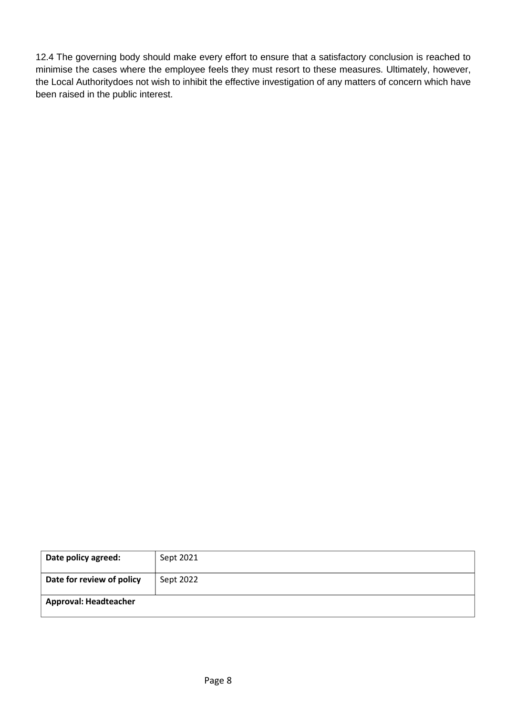12.4 The governing body should make every effort to ensure that a satisfactory conclusion is reached to minimise the cases where the employee feels they must resort to these measures. Ultimately, however, the Local Authoritydoes not wish to inhibit the effective investigation of any matters of concern which have been raised in the public interest.

| Date policy agreed:          | Sept 2021 |
|------------------------------|-----------|
| Date for review of policy    | Sept 2022 |
| <b>Approval: Headteacher</b> |           |